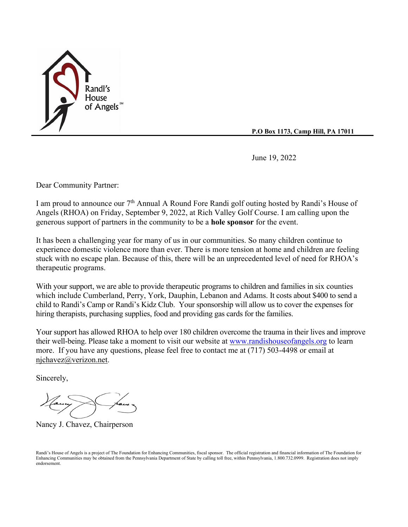

**P.O Box 1173, Camp Hill, PA 17011**

June 19, 2022

Dear Community Partner:

I am proud to announce our 7th Annual A Round Fore Randi golf outing hosted by Randi's House of Angels (RHOA) on Friday, September 9, 2022, at Rich Valley Golf Course. I am calling upon the generous support of partners in the community to be a **hole sponsor** for the event.

It has been a challenging year for many of us in our communities. So many children continue to experience domestic violence more than ever. There is more tension at home and children are feeling stuck with no escape plan. Because of this, there will be an unprecedented level of need for RHOA's therapeutic programs.

With your support, we are able to provide therapeutic programs to children and families in six counties which include Cumberland, Perry, York, Dauphin, Lebanon and Adams. It costs about \$400 to send a child to Randi's Camp or Randi's Kidz Club. Your sponsorship will allow us to cover the expenses for hiring therapists, purchasing supplies, food and providing gas cards for the families.

Your support has allowed RHOA to help over 180 children overcome the trauma in their lives and improve their well-being. Please take a moment to visit our website at [www.randishouseofangels.org](http://www.randishouseofangels.org/) to learn more. If you have any questions, please feel free to contact me at (717) 503-4498 or email at [njchavez@verizon.net.](mailto:njchavez@verizon.net)

Sincerely,

Nancy J. Chavez, Chairperson

Randi's House of Angels is a project of The Foundation for Enhancing Communities, fiscal sponsor. The official registration and financial information of The Foundation for Enhancing Communities may be obtained from the Pennsylvania Department of State by calling toll free, within Pennsylvania, 1.800.732.0999. Registration does not imply endorsement.